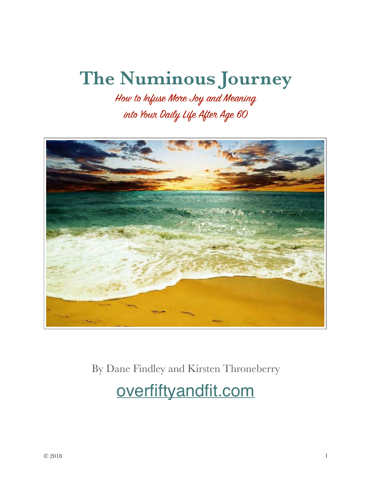# **The Numinous Journey**

How to Infuse More Joy and Meaning into Your Daily Life After Age 60



By Dane Findley and Kirsten Throneberry

[overfiftyandfit.com](http://overfiftyandfit.com)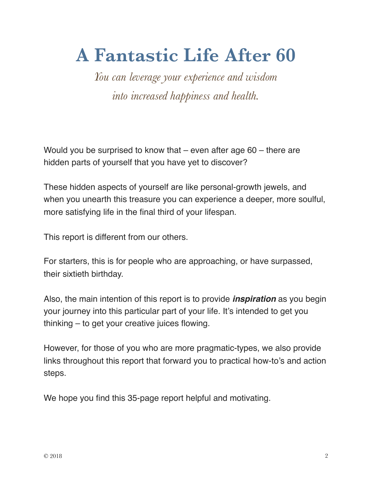# **A Fantastic Life After 60**

*You can leverage your experience and wisdom into increased happiness and health.*

Would you be surprised to know that – even after age 60 – there are hidden parts of yourself that you have yet to discover?

These hidden aspects of yourself are like personal-growth jewels, and when you unearth this treasure you can experience a deeper, more soulful, more satisfying life in the final third of your lifespan.

This report is different from our others.

For starters, this is for people who are approaching, or have surpassed, their sixtieth birthday.

Also, the main intention of this report is to provide *inspiration* as you begin your journey into this particular part of your life. It's intended to get you thinking – to get your creative juices flowing.

However, for those of you who are more pragmatic-types, we also provide links throughout this report that forward you to practical how-to's and action steps.

We hope you find this 35-page report helpful and motivating.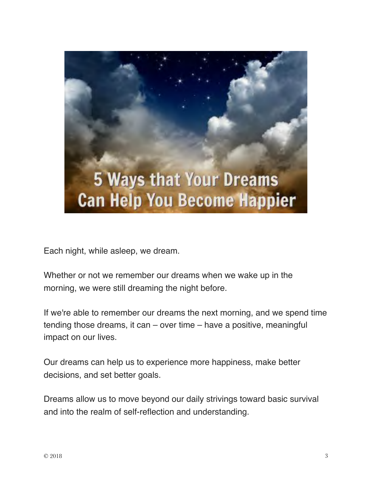

Each night, while asleep, we dream.

Whether or not we remember our dreams when we wake up in the morning, we were still dreaming the night before.

If we're able to remember our dreams the next morning, and we spend time tending those dreams, it can – over time – have a positive, meaningful impact on our lives.

Our dreams can help us to experience more happiness, make better decisions, and set better goals.

Dreams allow us to move beyond our daily strivings toward basic survival and into the realm of self-reflection and understanding.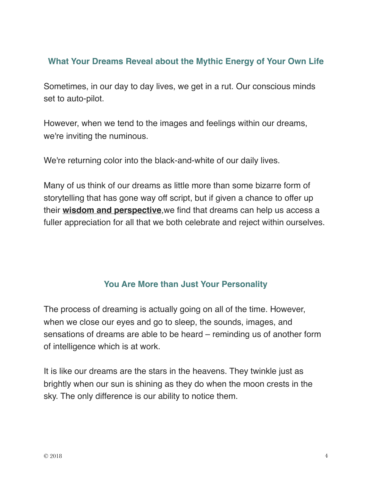#### **What Your Dreams Reveal about the Mythic Energy of Your Own Life**

Sometimes, in our day to day lives, we get in a rut. Our conscious minds set to auto-pilot.

However, when we tend to the images and feelings within our dreams, we're inviting the numinous.

We're returning color into the black-and-white of our daily lives.

Many of us think of our dreams as little more than some bizarre form of storytelling that has gone way off script, but if given a chance to offer up their **[wisdom and perspective](http://overfiftyandfit.com/decisions/)**,we find that dreams can help us access a fuller appreciation for all that we both celebrate and reject within ourselves.

## **You Are More than Just Your Personality**

The process of dreaming is actually going on all of the time. However, when we close our eyes and go to sleep, the sounds, images, and sensations of dreams are able to be heard – reminding us of another form of intelligence which is at work.

It is like our dreams are the stars in the heavens. They twinkle just as brightly when our sun is shining as they do when the moon crests in the sky. The only difference is our ability to notice them.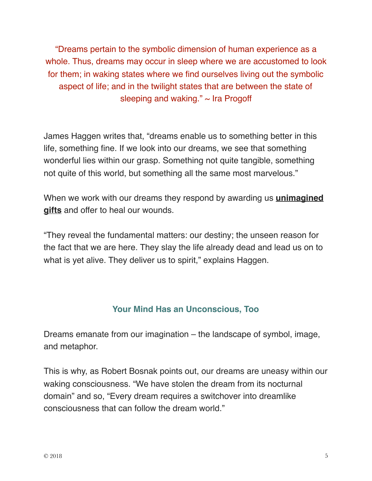"Dreams pertain to the symbolic dimension of human experience as a whole. Thus, dreams may occur in sleep where we are accustomed to look for them; in waking states where we find ourselves living out the symbolic aspect of life; and in the twilight states that are between the state of sleeping and waking."  $\sim$  Ira Progoff

James Haggen writes that, "dreams enable us to something better in this life, something fine. If we look into our dreams, we see that something wonderful lies within our grasp. Something not quite tangible, something not quite of this world, but something all the same most marvelous."

When we work with our dreams they respond by awarding us **[unimagined](http://overfiftyandfit.com/realizations/)  [gifts](http://overfiftyandfit.com/realizations/)** and offer to heal our wounds.

"They reveal the fundamental matters: our destiny; the unseen reason for the fact that we are here. They slay the life already dead and lead us on to what is yet alive. They deliver us to spirit," explains Haggen.

## **Your Mind Has an Unconscious, Too**

Dreams emanate from our imagination – the landscape of symbol, image, and metaphor.

This is why, as Robert Bosnak points out, our dreams are uneasy within our waking consciousness. "We have stolen the dream from its nocturnal domain" and so, "Every dream requires a switchover into dreamlike consciousness that can follow the dream world."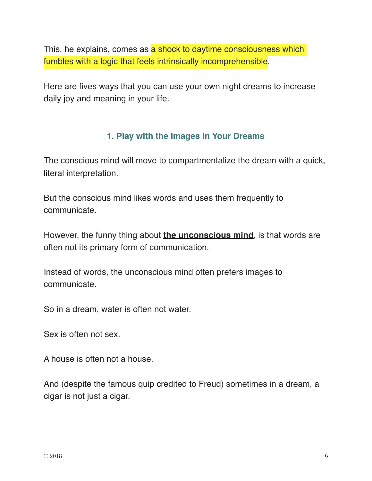This, he explains, comes as a shock to daytime consciousness which fumbles with a logic that feels intrinsically incomprehensible.

Here are fives ways that you can use your own night dreams to increase daily joy and meaning in your life.

## **1. Play with the Images in Your Dreams**

The conscious mind will move to compartmentalize the dream with a quick, literal interpretation.

But the conscious mind likes words and uses them frequently to communicate.

However, the funny thing about **[the unconscious mind](http://overfiftyandfit.com/universe-language-response/)**, is that words are often not its primary form of communication.

Instead of words, the unconscious mind often prefers images to communicate.

So in a dream, water is often not water.

Sex is often not sex.

A house is often not a house.

And (despite the famous quip credited to Freud) sometimes in a dream, a cigar is not just a cigar.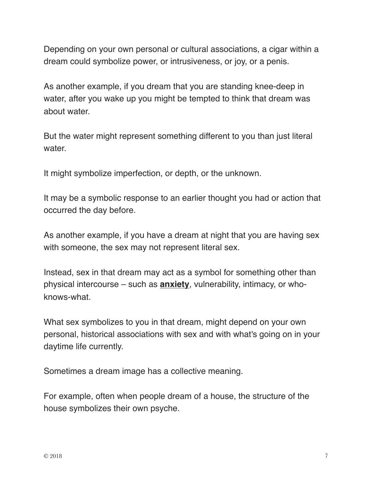Depending on your own personal or cultural associations, a cigar within a dream could symbolize power, or intrusiveness, or joy, or a penis.

As another example, if you dream that you are standing knee-deep in water, after you wake up you might be tempted to think that dream was about water.

But the water might represent something different to you than just literal water.

It might symbolize imperfection, or depth, or the unknown.

It may be a symbolic response to an earlier thought you had or action that occurred the day before.

As another example, if you have a dream at night that you are having sex with someone, the sex may not represent literal sex.

Instead, sex in that dream may act as a symbol for something other than physical intercourse – such as **[anxiety](http://overfiftyandfit.com/natural-anxiety-solutions/)**, vulnerability, intimacy, or whoknows-what.

What sex symbolizes to you in that dream, might depend on your own personal, historical associations with sex and with what's going on in your daytime life currently.

Sometimes a dream image has a collective meaning.

For example, often when people dream of a house, the structure of the house symbolizes their own psyche.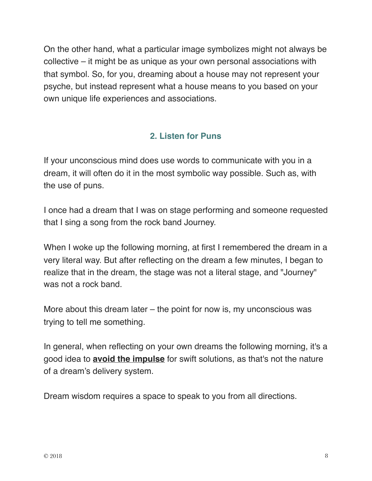On the other hand, what a particular image symbolizes might not always be collective – it might be as unique as your own personal associations with that symbol. So, for you, dreaming about a house may not represent your psyche, but instead represent what a house means to you based on your own unique life experiences and associations.

## **2. Listen for Puns**

If your unconscious mind does use words to communicate with you in a dream, it will often do it in the most symbolic way possible. Such as, with the use of puns.

I once had a dream that I was on stage performing and someone requested that I sing a song from the rock band Journey.

When I woke up the following morning, at first I remembered the dream in a very literal way. But after reflecting on the dream a few minutes, I began to realize that in the dream, the stage was not a literal stage, and "Journey" was not a rock band.

More about this dream later – the point for now is, my unconscious was trying to tell me something.

In general, when reflecting on your own dreams the following morning, it's a good idea to **[avoid the impulse](http://overfiftyandfit.com/psychological-obstacles/)** for swift solutions, as that's not the nature of a dream's delivery system.

Dream wisdom requires a space to speak to you from all directions.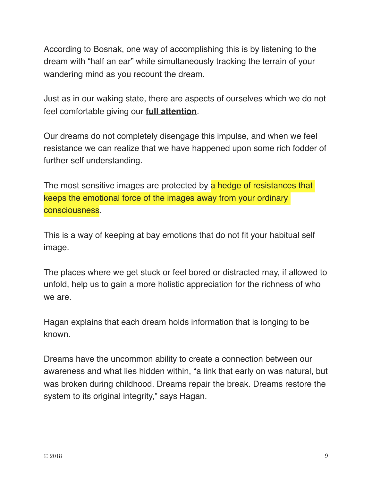According to Bosnak, one way of accomplishing this is by listening to the dream with "half an ear" while simultaneously tracking the terrain of your wandering mind as you recount the dream.

Just as in our waking state, there are aspects of ourselves which we do not feel comfortable giving our **[full attention](http://overfiftyandfit.com/physically-fit-after-age-50/)**.

Our dreams do not completely disengage this impulse, and when we feel resistance we can realize that we have happened upon some rich fodder of further self understanding.

The most sensitive images are protected by a hedge of resistances that keeps the emotional force of the images away from your ordinary consciousness.

This is a way of keeping at bay emotions that do not fit your habitual self image.

The places where we get stuck or feel bored or distracted may, if allowed to unfold, help us to gain a more holistic appreciation for the richness of who we are.

Hagan explains that each dream holds information that is longing to be known.

Dreams have the uncommon ability to create a connection between our awareness and what lies hidden within, "a link that early on was natural, but was broken during childhood. Dreams repair the break. Dreams restore the system to its original integrity," says Hagan.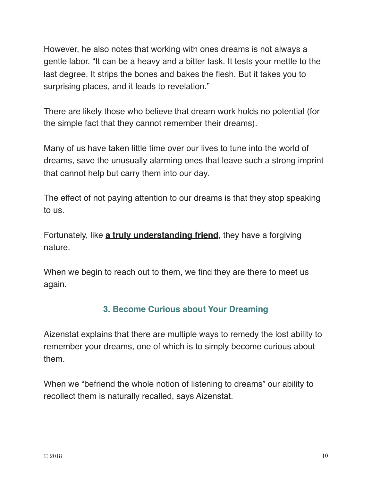However, he also notes that working with ones dreams is not always a gentle labor. "It can be a heavy and a bitter task. It tests your mettle to the last degree. It strips the bones and bakes the flesh. But it takes you to surprising places, and it leads to revelation."

There are likely those who believe that dream work holds no potential (for the simple fact that they cannot remember their dreams).

Many of us have taken little time over our lives to tune into the world of dreams, save the unusually alarming ones that leave such a strong imprint that cannot help but carry them into our day.

The effect of not paying attention to our dreams is that they stop speaking to us.

Fortunately, like **[a truly understanding friend](http://overfiftyandfit.com/attract-better-people/)**, they have a forgiving nature.

When we begin to reach out to them, we find they are there to meet us again.

## **3. Become Curious about Your Dreaming**

Aizenstat explains that there are multiple ways to remedy the lost ability to remember your dreams, one of which is to simply become curious about them.

When we "befriend the whole notion of listening to dreams" our ability to recollect them is naturally recalled, says Aizenstat.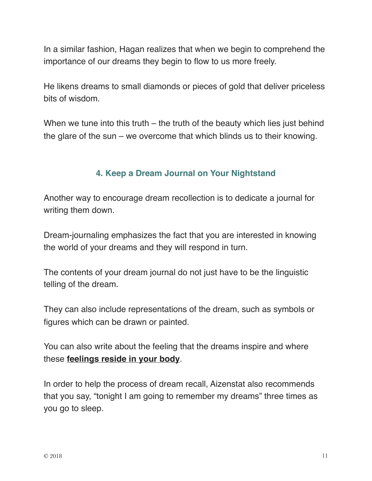In a similar fashion, Hagan realizes that when we begin to comprehend the importance of our dreams they begin to flow to us more freely.

He likens dreams to small diamonds or pieces of gold that deliver priceless bits of wisdom.

When we tune into this truth – the truth of the beauty which lies just behind the glare of the sun – we overcome that which blinds us to their knowing.

## **4. Keep a Dream Journal on Your Nightstand**

Another way to encourage dream recollection is to dedicate a journal for writing them down.

Dream-journaling emphasizes the fact that you are interested in knowing the world of your dreams and they will respond in turn.

The contents of your dream journal do not just have to be the linguistic telling of the dream.

They can also include representations of the dream, such as symbols or figures which can be drawn or painted.

You can also write about the feeling that the dreams inspire and where these **[feelings reside in your body](https://overfiftyandfit.com/food-sensitivity-better-physique/)**.

In order to help the process of dream recall, Aizenstat also recommends that you say, "tonight I am going to remember my dreams" three times as you go to sleep.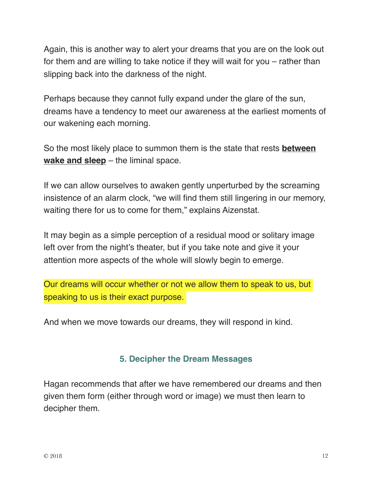Again, this is another way to alert your dreams that you are on the look out for them and are willing to take notice if they will wait for you – rather than slipping back into the darkness of the night.

Perhaps because they cannot fully expand under the glare of the sun, dreams have a tendency to meet our awareness at the earliest moments of our wakening each morning.

So the most likely place to summon them is the state that rests **[between](http://overfiftyandfit.com/eat-before-bed/)  [wake and sleep](http://overfiftyandfit.com/eat-before-bed/)** – the liminal space.

If we can allow ourselves to awaken gently unperturbed by the screaming insistence of an alarm clock, "we will find them still lingering in our memory, waiting there for us to come for them," explains Aizenstat.

It may begin as a simple perception of a residual mood or solitary image left over from the night's theater, but if you take note and give it your attention more aspects of the whole will slowly begin to emerge.

Our dreams will occur whether or not we allow them to speak to us, but speaking to us is their exact purpose.

And when we move towards our dreams, they will respond in kind.

#### **5. Decipher the Dream Messages**

Hagan recommends that after we have remembered our dreams and then given them form (either through word or image) we must then learn to decipher them.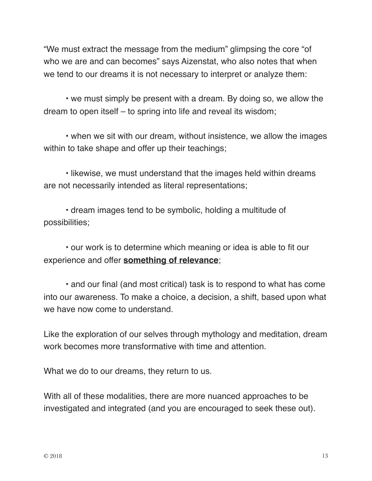"We must extract the message from the medium" glimpsing the core "of who we are and can becomes" says Aizenstat, who also notes that when we tend to our dreams it is not necessary to interpret or analyze them:

• we must simply be present with a dream. By doing so, we allow the dream to open itself – to spring into life and reveal its wisdom;

• when we sit with our dream, without insistence, we allow the images within to take shape and offer up their teachings;

• likewise, we must understand that the images held within dreams are not necessarily intended as literal representations;

• dream images tend to be symbolic, holding a multitude of possibilities;

• our work is to determine which meaning or idea is able to fit our experience and offer **[something of relevance](http://overfiftyandfit.com/increase-stamina/)**;

• and our final (and most critical) task is to respond to what has come into our awareness. To make a choice, a decision, a shift, based upon what we have now come to understand.

Like the exploration of our selves through mythology and meditation, dream work becomes more transformative with time and attention.

What we do to our dreams, they return to us.

With all of these modalities, there are more nuanced approaches to be investigated and integrated (and you are encouraged to seek these out).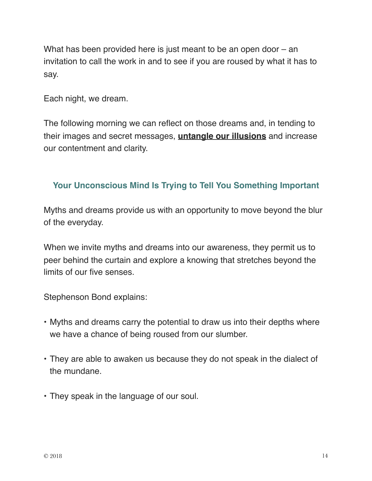What has been provided here is just meant to be an open door – an invitation to call the work in and to see if you are roused by what it has to say.

Each night, we dream.

The following morning we can reflect on those dreams and, in tending to their images and secret messages, **[untangle our illusions](http://overfiftyandfit.com/negativity/)** and increase our contentment and clarity.

## **Your Unconscious Mind Is Trying to Tell You Something Important**

Myths and dreams provide us with an opportunity to move beyond the blur of the everyday.

When we invite myths and dreams into our awareness, they permit us to peer behind the curtain and explore a knowing that stretches beyond the limits of our five senses.

Stephenson Bond explains:

- Myths and dreams carry the potential to draw us into their depths where we have a chance of being roused from our slumber.
- They are able to awaken us because they do not speak in the dialect of the mundane.
- They speak in the language of our soul.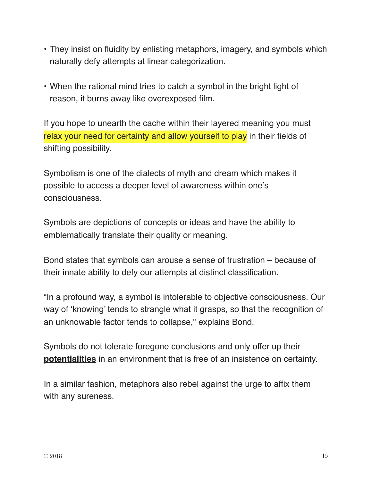- They insist on fluidity by enlisting metaphors, imagery, and symbols which naturally defy attempts at linear categorization.
- When the rational mind tries to catch a symbol in the bright light of reason, it burns away like overexposed film.

If you hope to unearth the cache within their layered meaning you must relax your need for certainty and allow yourself to play in their fields of shifting possibility.

Symbolism is one of the dialects of myth and dream which makes it possible to access a deeper level of awareness within one's consciousness.

Symbols are depictions of concepts or ideas and have the ability to emblematically translate their quality or meaning.

Bond states that symbols can arouse a sense of frustration – because of their innate ability to defy our attempts at distinct classification.

"In a profound way, a symbol is intolerable to objective consciousness. Our way of 'knowing' tends to strangle what it grasps, so that the recognition of an unknowable factor tends to collapse," explains Bond.

Symbols do not tolerate foregone conclusions and only offer up their **[potentialities](http://overfiftyandfit.com/enthusiasm/)** in an environment that is free of an insistence on certainty.

In a similar fashion, metaphors also rebel against the urge to affix them with any sureness.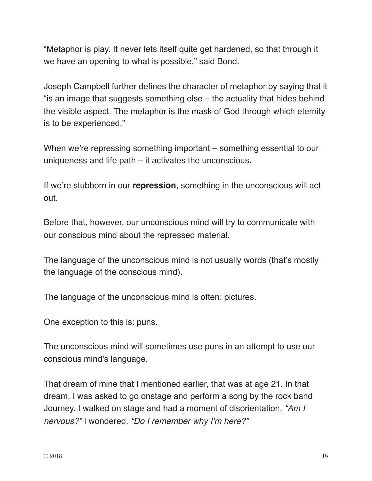"Metaphor is play. It never lets itself quite get hardened, so that through it we have an opening to what is possible," said Bond.

Joseph Campbell further defines the character of metaphor by saying that it "is an image that suggests something else – the actuality that hides behind the visible aspect. The metaphor is the mask of God through which eternity is to be experienced."

When we're repressing something important – something essential to our uniqueness and life path – it activates the unconscious.

If we're stubborn in our **[repression](http://overfiftyandfit.com/balanced-lifestyle/)**, something in the unconscious will act out.

Before that, however, our unconscious mind will try to communicate with our conscious mind about the repressed material.

The language of the unconscious mind is not usually words (that's mostly the language of the conscious mind).

The language of the unconscious mind is often: pictures.

One exception to this is: puns.

The unconscious mind will sometimes use puns in an attempt to use our conscious mind's language.

That dream of mine that I mentioned earlier, that was at age 21. In that dream, I was asked to go onstage and perform a song by the rock band Journey. I walked on stage and had a moment of disorientation. *"Am I nervous?"* I wondered. *"Do I remember why I'm here?"*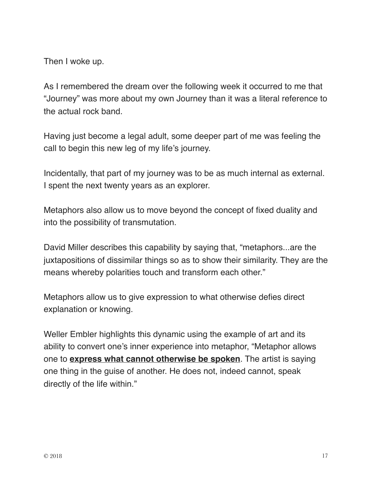Then I woke up.

As I remembered the dream over the following week it occurred to me that "Journey" was more about my own Journey than it was a literal reference to the actual rock band.

Having just become a legal adult, some deeper part of me was feeling the call to begin this new leg of my life's journey.

Incidentally, that part of my journey was to be as much internal as external. I spent the next twenty years as an explorer.

Metaphors also allow us to move beyond the concept of fixed duality and into the possibility of transmutation.

David Miller describes this capability by saying that, "metaphors...are the juxtapositions of dissimilar things so as to show their similarity. They are the means whereby polarities touch and transform each other."

Metaphors allow us to give expression to what otherwise defies direct explanation or knowing.

Weller Embler highlights this dynamic using the example of art and its ability to convert one's inner experience into metaphor, "Metaphor allows one to **[express what cannot otherwise be spoken](http://overfiftyandfit.com/romantic-partners-exchange-energy/)**. The artist is saying one thing in the guise of another. He does not, indeed cannot, speak directly of the life within."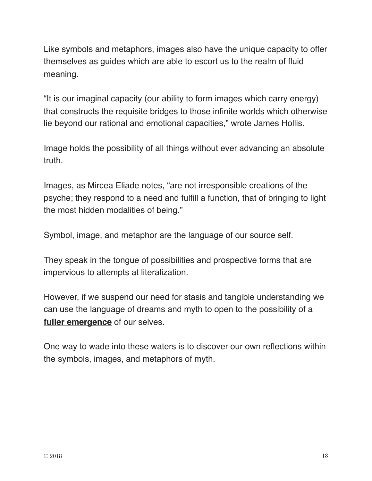Like symbols and metaphors, images also have the unique capacity to offer themselves as guides which are able to escort us to the realm of fluid meaning.

"It is our imaginal capacity (our ability to form images which carry energy) that constructs the requisite bridges to those infinite worlds which otherwise lie beyond our rational and emotional capacities," wrote James Hollis.

Image holds the possibility of all things without ever advancing an absolute truth.

Images, as Mircea Eliade notes, "are not irresponsible creations of the psyche; they respond to a need and fulfill a function, that of bringing to light the most hidden modalities of being."

Symbol, image, and metaphor are the language of our source self.

They speak in the tongue of possibilities and prospective forms that are impervious to attempts at literalization.

However, if we suspend our need for stasis and tangible understanding we can use the language of dreams and myth to open to the possibility of a **[fuller emergence](http://overfiftyandfit.com/personal-productivity/)** of our selves.

One way to wade into these waters is to discover our own reflections within the symbols, images, and metaphors of myth.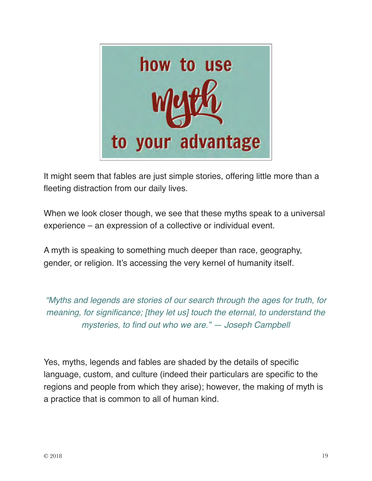

It might seem that fables are just simple stories, offering little more than a fleeting distraction from our daily lives.

When we look closer though, we see that these myths speak to a universal experience – an expression of a collective or individual event.

A myth is speaking to something much deeper than race, geography, gender, or religion. It's accessing the very kernel of humanity itself.

*"Myths and legends are stories of our search through the ages for truth, for meaning, for significance; [they let us] touch the eternal, to understand the mysteries, to find out who we are." — Joseph Campbell*

Yes, myths, legends and fables are shaded by the details of specific language, custom, and culture (indeed their particulars are specific to the regions and people from which they arise); however, the making of myth is a practice that is common to all of human kind.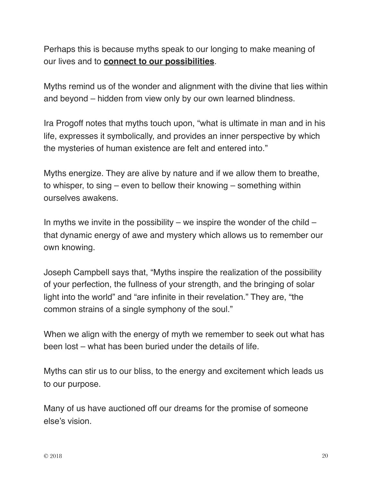Perhaps this is because myths speak to our longing to make meaning of our lives and to **[connect to our possibilities](https://plus.google.com/+DaneFindley/posts/2ysRpoVhkVS)**.

Myths remind us of the wonder and alignment with the divine that lies within and beyond – hidden from view only by our own learned blindness.

Ira Progoff notes that myths touch upon, "what is ultimate in man and in his life, expresses it symbolically, and provides an inner perspective by which the mysteries of human existence are felt and entered into."

Myths energize. They are alive by nature and if we allow them to breathe, to whisper, to sing – even to bellow their knowing – something within ourselves awakens.

In myths we invite in the possibility – we inspire the wonder of the child – that dynamic energy of awe and mystery which allows us to remember our own knowing.

Joseph Campbell says that, "Myths inspire the realization of the possibility of your perfection, the fullness of your strength, and the bringing of solar light into the world" and "are infinite in their revelation." They are, "the common strains of a single symphony of the soul."

When we align with the energy of myth we remember to seek out what has been lost – what has been buried under the details of life.

Myths can stir us to our bliss, to the energy and excitement which leads us to our purpose.

Many of us have auctioned off our dreams for the promise of someone else's vision.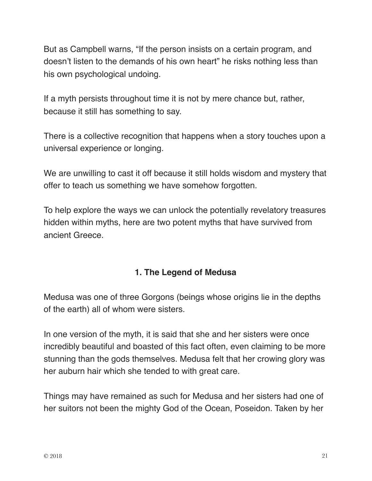But as Campbell warns, "If the person insists on a certain program, and doesn't listen to the demands of his own heart" he risks nothing less than his own psychological undoing.

If a myth persists throughout time it is not by mere chance but, rather, because it still has something to say.

There is a collective recognition that happens when a story touches upon a universal experience or longing.

We are unwilling to cast it off because it still holds wisdom and mystery that offer to teach us something we have somehow forgotten.

To help explore the ways we can unlock the potentially revelatory treasures hidden within myths, here are two potent myths that have survived from ancient Greece.

## **1. The Legend of Medusa**

Medusa was one of three Gorgons (beings whose origins lie in the depths of the earth) all of whom were sisters.

In one version of the myth, it is said that she and her sisters were once incredibly beautiful and boasted of this fact often, even claiming to be more stunning than the gods themselves. Medusa felt that her crowing glory was her auburn hair which she tended to with great care.

Things may have remained as such for Medusa and her sisters had one of her suitors not been the mighty God of the Ocean, Poseidon. Taken by her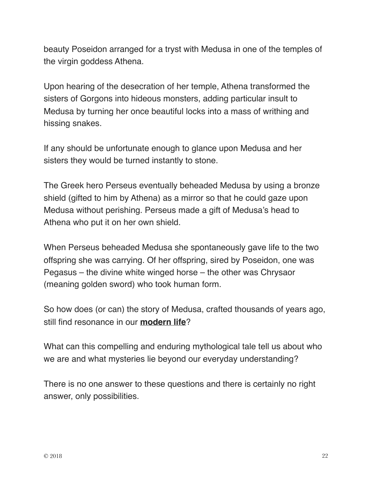beauty Poseidon arranged for a tryst with Medusa in one of the temples of the virgin goddess Athena.

Upon hearing of the desecration of her temple, Athena transformed the sisters of Gorgons into hideous monsters, adding particular insult to Medusa by turning her once beautiful locks into a mass of writhing and hissing snakes.

If any should be unfortunate enough to glance upon Medusa and her sisters they would be turned instantly to stone.

The Greek hero Perseus eventually beheaded Medusa by using a bronze shield (gifted to him by Athena) as a mirror so that he could gaze upon Medusa without perishing. Perseus made a gift of Medusa's head to Athena who put it on her own shield.

When Perseus beheaded Medusa she spontaneously gave life to the two offspring she was carrying. Of her offspring, sired by Poseidon, one was Pegasus – the divine white winged horse – the other was Chrysaor (meaning golden sword) who took human form.

So how does (or can) the story of Medusa, crafted thousands of years ago, still find resonance in our **[modern life](http://overfiftyandfit.com/future/)**?

What can this compelling and enduring mythological tale tell us about who we are and what mysteries lie beyond our everyday understanding?

There is no one answer to these questions and there is certainly no right answer, only possibilities.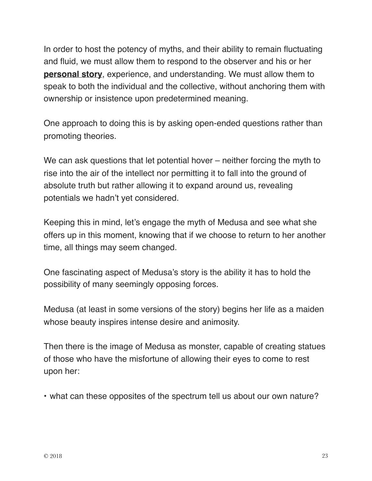In order to host the potency of myths, and their ability to remain fluctuating and fluid, we must allow them to respond to the observer and his or her **[personal story](http://overfiftyandfit.com/start-here-motivation/)**, experience, and understanding. We must allow them to speak to both the individual and the collective, without anchoring them with ownership or insistence upon predetermined meaning.

One approach to doing this is by asking open-ended questions rather than promoting theories.

We can ask questions that let potential hover – neither forcing the myth to rise into the air of the intellect nor permitting it to fall into the ground of absolute truth but rather allowing it to expand around us, revealing potentials we hadn't yet considered.

Keeping this in mind, let's engage the myth of Medusa and see what she offers up in this moment, knowing that if we choose to return to her another time, all things may seem changed.

One fascinating aspect of Medusa's story is the ability it has to hold the possibility of many seemingly opposing forces.

Medusa (at least in some versions of the story) begins her life as a maiden whose beauty inspires intense desire and animosity.

Then there is the image of Medusa as monster, capable of creating statues of those who have the misfortune of allowing their eyes to come to rest upon her:

• what can these opposites of the spectrum tell us about our own nature?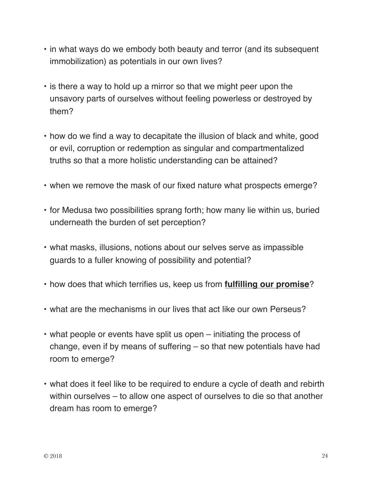- in what ways do we embody both beauty and terror (and its subsequent immobilization) as potentials in our own lives?
- is there a way to hold up a mirror so that we might peer upon the unsavory parts of ourselves without feeling powerless or destroyed by them?
- how do we find a way to decapitate the illusion of black and white, good or evil, corruption or redemption as singular and compartmentalized truths so that a more holistic understanding can be attained?
- when we remove the mask of our fixed nature what prospects emerge?
- for Medusa two possibilities sprang forth; how many lie within us, buried underneath the burden of set perception?
- what masks, illusions, notions about our selves serve as impassible guards to a fuller knowing of possibility and potential?
- how does that which terrifies us, keep us from **[fulfilling our promise](http://overfiftyandfit.com/raise-happiness-after-age-50/)**?
- what are the mechanisms in our lives that act like our own Perseus?
- what people or events have split us open initiating the process of change, even if by means of suffering – so that new potentials have had room to emerge?
- what does it feel like to be required to endure a cycle of death and rebirth within ourselves – to allow one aspect of ourselves to die so that another dream has room to emerge?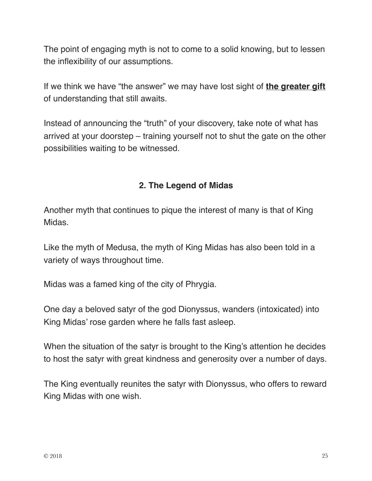The point of engaging myth is not to come to a solid knowing, but to lessen the inflexibility of our assumptions.

If we think we have "the answer" we may have lost sight of **[the greater gift](http://overfiftyandfit.com/live-more-passionately/)** of understanding that still awaits.

Instead of announcing the "truth" of your discovery, take note of what has arrived at your doorstep – training yourself not to shut the gate on the other possibilities waiting to be witnessed.

## **2. The Legend of Midas**

Another myth that continues to pique the interest of many is that of King Midas.

Like the myth of Medusa, the myth of King Midas has also been told in a variety of ways throughout time.

Midas was a famed king of the city of Phrygia.

One day a beloved satyr of the god Dionyssus, wanders (intoxicated) into King Midas' rose garden where he falls fast asleep.

When the situation of the satyr is brought to the King's attention he decides to host the satyr with great kindness and generosity over a number of days.

The King eventually reunites the satyr with Dionyssus, who offers to reward King Midas with one wish.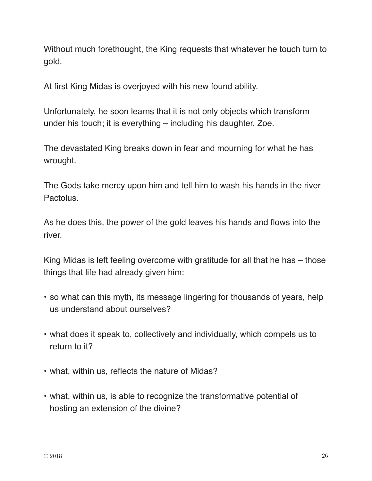Without much forethought, the King requests that whatever he touch turn to gold.

At first King Midas is overjoyed with his new found ability.

Unfortunately, he soon learns that it is not only objects which transform under his touch; it is everything – including his daughter, Zoe.

The devastated King breaks down in fear and mourning for what he has wrought.

The Gods take mercy upon him and tell him to wash his hands in the river Pactolus.

As he does this, the power of the gold leaves his hands and flows into the river.

King Midas is left feeling overcome with gratitude for all that he has – those things that life had already given him:

- so what can this myth, its message lingering for thousands of years, help us understand about ourselves?
- what does it speak to, collectively and individually, which compels us to return to it?
- what, within us, reflects the nature of Midas?
- what, within us, is able to recognize the transformative potential of hosting an extension of the divine?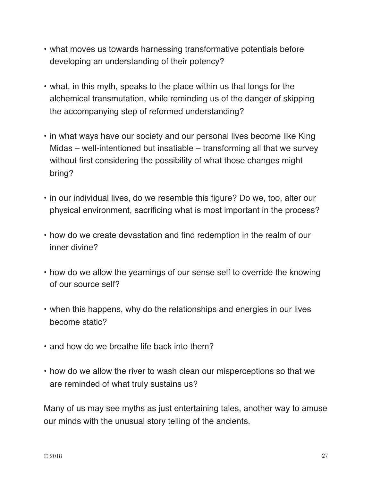- what moves us towards harnessing transformative potentials before developing an understanding of their potency?
- what, in this myth, speaks to the place within us that longs for the alchemical transmutation, while reminding us of the danger of skipping the accompanying step of reformed understanding?
- in what ways have our society and our personal lives become like King Midas – well-intentioned but insatiable – transforming all that we survey without first considering the possibility of what those changes might bring?
- in our individual lives, do we resemble this figure? Do we, too, alter our physical environment, sacrificing what is most important in the process?
- how do we create devastation and find redemption in the realm of our inner divine?
- how do we allow the yearnings of our sense self to override the knowing of our source self?
- when this happens, why do the relationships and energies in our lives become static?
- and how do we breathe life back into them?
- how do we allow the river to wash clean our misperceptions so that we are reminded of what truly sustains us?

Many of us may see myths as just entertaining tales, another way to amuse our minds with the unusual story telling of the ancients.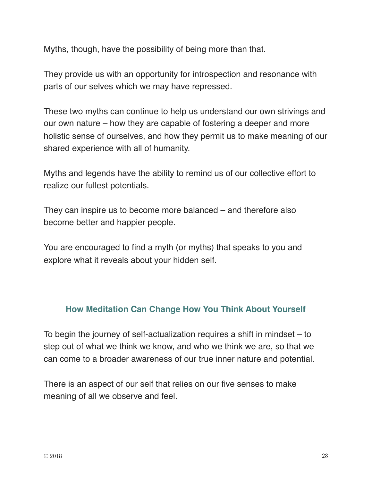Myths, though, have the possibility of being more than that.

They provide us with an opportunity for introspection and resonance with parts of our selves which we may have repressed.

These two myths can continue to help us understand our own strivings and our own nature – how they are capable of fostering a deeper and more holistic sense of ourselves, and how they permit us to make meaning of our shared experience with all of humanity.

Myths and legends have the ability to remind us of our collective effort to realize our fullest potentials.

They can inspire us to become more balanced – and therefore also become better and happier people.

You are encouraged to find a myth (or myths) that speaks to you and explore what it reveals about your hidden self.

## **How Meditation Can Change How You Think About Yourself**

To begin the journey of self-actualization requires a shift in mindset – to step out of what we think we know, and who we think we are, so that we can come to a broader awareness of our true inner nature and potential.

There is an aspect of our self that relies on our five senses to make meaning of all we observe and feel.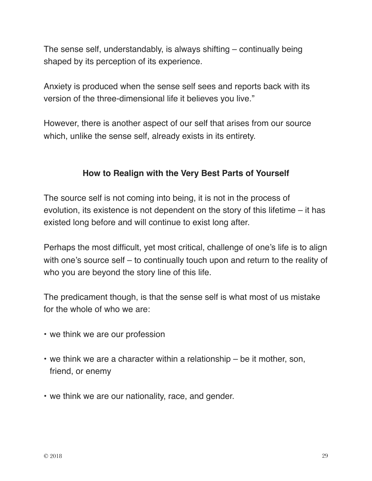The sense self, understandably, is always shifting – continually being shaped by its perception of its experience.

Anxiety is produced when the sense self sees and reports back with its version of the three-dimensional life it believes you live."

However, there is another aspect of our self that arises from our source which, unlike the sense self, already exists in its entirety.

## **How to Realign with the Very Best Parts of Yourself**

The source self is not coming into being, it is not in the process of evolution, its existence is not dependent on the story of this lifetime – it has existed long before and will continue to exist long after.

Perhaps the most difficult, yet most critical, challenge of one's life is to align with one's source self – to continually touch upon and return to the reality of who you are beyond the story line of this life.

The predicament though, is that the sense self is what most of us mistake for the whole of who we are:

- we think we are our profession
- we think we are a character within a relationship be it mother, son, friend, or enemy
- we think we are our nationality, race, and gender.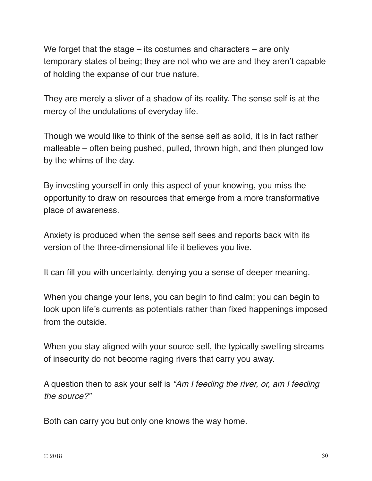We forget that the stage – its costumes and characters – are only temporary states of being; they are not who we are and they aren't capable of holding the expanse of our true nature.

They are merely a sliver of a shadow of its reality. The sense self is at the mercy of the undulations of everyday life.

Though we would like to think of the sense self as solid, it is in fact rather malleable – often being pushed, pulled, thrown high, and then plunged low by the whims of the day.

By investing yourself in only this aspect of your knowing, you miss the opportunity to draw on resources that emerge from a more transformative place of awareness.

Anxiety is produced when the sense self sees and reports back with its version of the three-dimensional life it believes you live.

It can fill you with uncertainty, denying you a sense of deeper meaning.

When you change your lens, you can begin to find calm; you can begin to look upon life's currents as potentials rather than fixed happenings imposed from the outside.

When you stay aligned with your source self, the typically swelling streams of insecurity do not become raging rivers that carry you away.

A question then to ask your self is *"Am I feeding the river, or, am I feeding the source?"*

Both can carry you but only one knows the way home.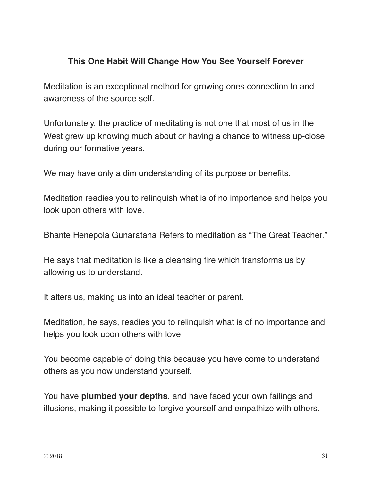#### **This One Habit Will Change How You See Yourself Forever**

Meditation is an exceptional method for growing ones connection to and awareness of the source self.

Unfortunately, the practice of meditating is not one that most of us in the West grew up knowing much about or having a chance to witness up-close during our formative years.

We may have only a dim understanding of its purpose or benefits.

Meditation readies you to relinquish what is of no importance and helps you look upon others with love.

Bhante Henepola Gunaratana Refers to meditation as "The Great Teacher."

He says that meditation is like a cleansing fire which transforms us by allowing us to understand.

It alters us, making us into an ideal teacher or parent.

Meditation, he says, readies you to relinquish what is of no importance and helps you look upon others with love.

You become capable of doing this because you have come to understand others as you now understand yourself.

You have **[plumbed your depths](http://overfiftyandfit.com/add-years-to-lifespan/)**, and have faced your own failings and illusions, making it possible to forgive yourself and empathize with others.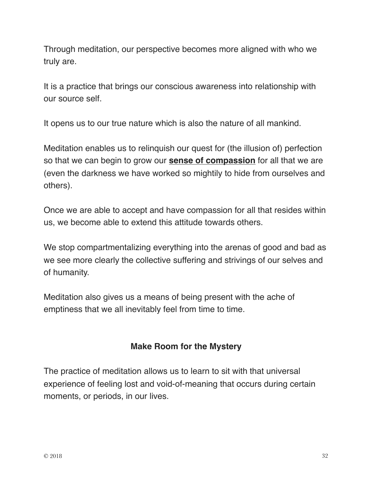Through meditation, our perspective becomes more aligned with who we truly are.

It is a practice that brings our conscious awareness into relationship with our source self.

It opens us to our true nature which is also the nature of all mankind.

Meditation enables us to relinquish our quest for (the illusion of) perfection so that we can begin to grow our **[sense of compassion](http://overfiftyandfit.com/brilliant-life-manifesto/)** for all that we are (even the darkness we have worked so mightily to hide from ourselves and others).

Once we are able to accept and have compassion for all that resides within us, we become able to extend this attitude towards others.

We stop compartmentalizing everything into the arenas of good and bad as we see more clearly the collective suffering and strivings of our selves and of humanity.

Meditation also gives us a means of being present with the ache of emptiness that we all inevitably feel from time to time.

## **Make Room for the Mystery**

The practice of meditation allows us to learn to sit with that universal experience of feeling lost and void-of-meaning that occurs during certain moments, or periods, in our lives.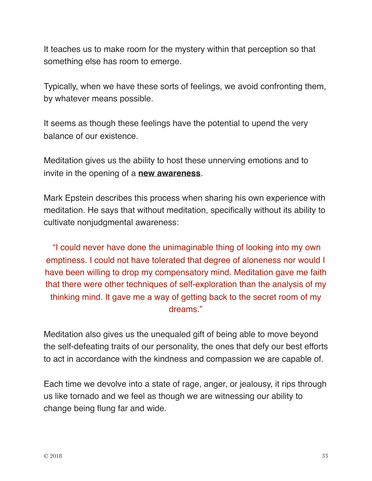It teaches us to make room for the mystery within that perception so that something else has room to emerge.

Typically, when we have these sorts of feelings, we avoid confronting them, by whatever means possible.

It seems as though these feelings have the potential to upend the very balance of our existence.

Meditation gives us the ability to host these unnerving emotions and to invite in the opening of a **[new awareness](http://overfiftyandfit.com/fantastic-morning/)**.

Mark Epstein describes this process when sharing his own experience with meditation. He says that without meditation, specifically without its ability to cultivate nonjudgmental awareness:

"I could never have done the unimaginable thing of looking into my own emptiness. I could not have tolerated that degree of aloneness nor would I have been willing to drop my compensatory mind. Meditation gave me faith that there were other techniques of self-exploration than the analysis of my thinking mind. It gave me a way of getting back to the secret room of my dreams."

Meditation also gives us the unequaled gift of being able to move beyond the self-defeating traits of our personality, the ones that defy our best efforts to act in accordance with the kindness and compassion we are capable of.

Each time we devolve into a state of rage, anger, or jealousy, it rips through us like tornado and we feel as though we are witnessing our ability to change being flung far and wide.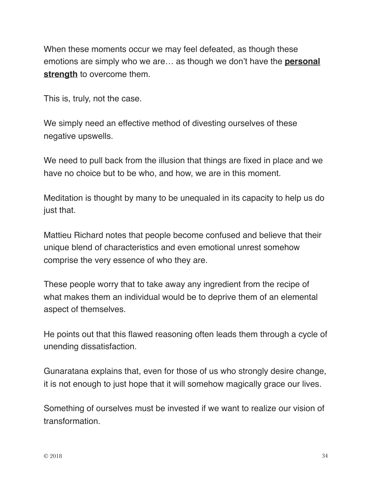When these moments occur we may feel defeated, as though these emotions are simply who we are… as though we don't have the **[personal](http://overfiftyandfit.com/health-protocols/)  [strength](http://overfiftyandfit.com/health-protocols/)** to overcome them.

This is, truly, not the case.

We simply need an effective method of divesting ourselves of these negative upswells.

We need to pull back from the illusion that things are fixed in place and we have no choice but to be who, and how, we are in this moment.

Meditation is thought by many to be unequaled in its capacity to help us do just that.

Mattieu Richard notes that people become confused and believe that their unique blend of characteristics and even emotional unrest somehow comprise the very essence of who they are.

These people worry that to take away any ingredient from the recipe of what makes them an individual would be to deprive them of an elemental aspect of themselves.

He points out that this flawed reasoning often leads them through a cycle of unending dissatisfaction.

Gunaratana explains that, even for those of us who strongly desire change, it is not enough to just hope that it will somehow magically grace our lives.

Something of ourselves must be invested if we want to realize our vision of transformation.